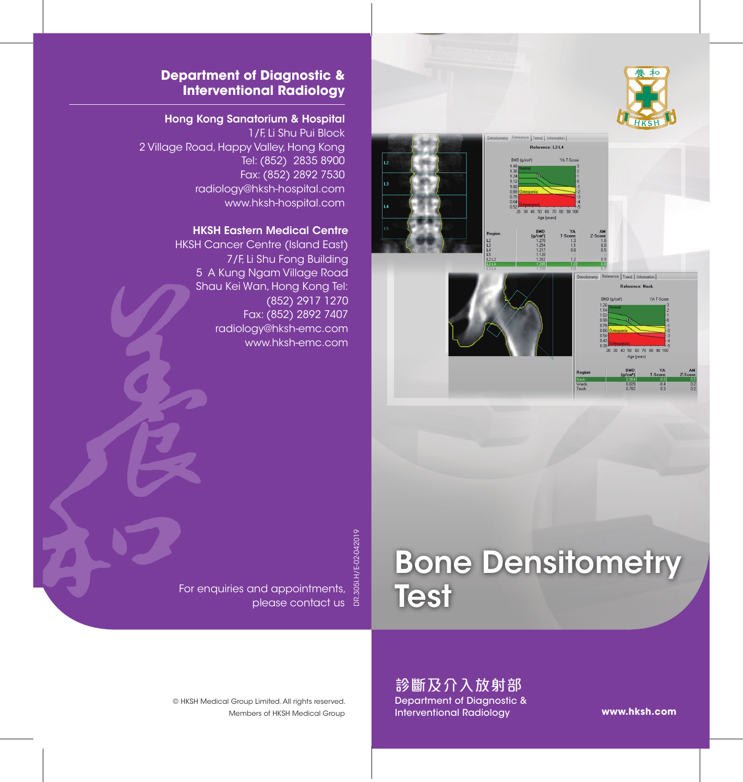



#### **Department of Diagnostic & Interventional Radiology**

#### Hong Kong Sanatorium & Hospital

1/F, Li Shu Pui Block 2 Village Road, Happy Valley, Hong Kong Tel: (852) 2835 8900 Fax: (852) 2892 7530 radiology@hksh-hospital.com www.hksh-hospital.com

#### HKSH Eastern Medical Centre

HKSH Cancer Centre (Island East) 7/F, Li Shu Fong Building 5 A Kung Ngam Village Road Shau Kei Wan, Hong Kong Tel: (852) 2917 1270 Fax: (852) 2892 7407 radiology@hksh-emc.com www.hksh-emc.com

For enquiries and appointments, as<br>For enquiries and appointments, as<br>References please contact us & DR.305I.H/E-02-042019

# Bone Densitometry **Test**

診斷及介入放射部 Department of Diagnostic & Interventional Radiology

Members of HKSH Medical Group © HKSH Medical Group Limited. All rights reserved.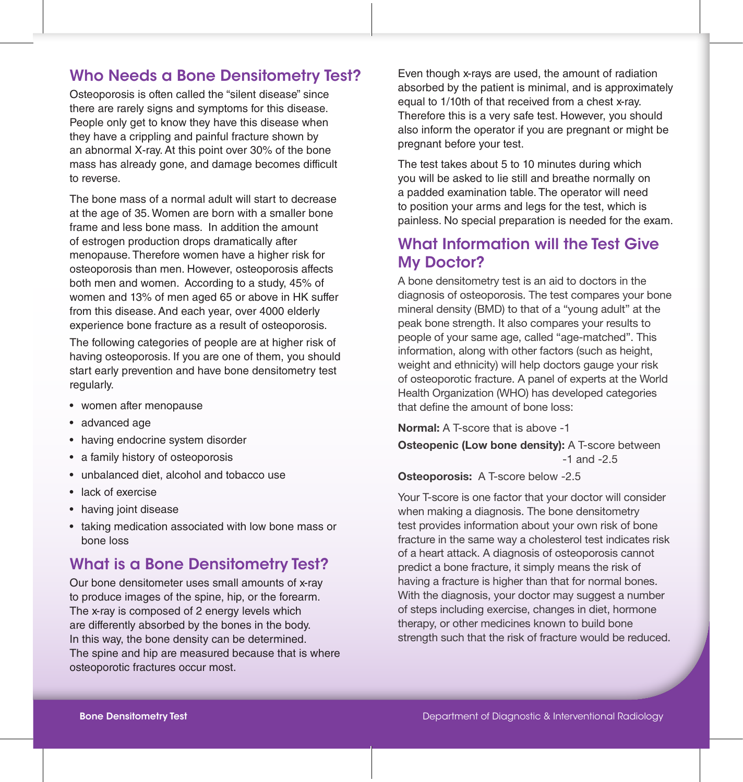# Who Needs a Bone Densitometry Test?

Osteoporosis is often called the "silent disease" since there are rarely signs and symptoms for this disease. People only get to know they have this disease when they have a crippling and painful fracture shown by an abnormal X-ray. At this point over 30% of the bone mass has already gone, and damage becomes difficult to reverse.

The bone mass of a normal adult will start to decrease at the age of 35. Women are born with a smaller bone frame and less bone mass. In addition the amount of estrogen production drops dramatically after menopause. Therefore women have a higher risk for osteoporosis than men. However, osteoporosis affects both men and women. According to a study, 45% of women and 13% of men aged 65 or above in HK suffer from this disease. And each year, over 4000 elderly experience bone fracture as a result of osteoporosis.

The following categories of people are at higher risk of having osteoporosis. If you are one of them, you should start early prevention and have bone densitometry test regularly.

- women after menopause
- advanced age
- having endocrine system disorder
- a family history of osteoporosis
- unbalanced diet, alcohol and tobacco use
- lack of exercise
- having joint disease
- • taking medication associated with low bone mass or bone loss

# What is a Bone Densitometry Test?

Our bone densitometer uses small amounts of x-ray to produce images of the spine, hip, or the forearm. The x-ray is composed of 2 energy levels which are differently absorbed by the bones in the body. In this way, the bone density can be determined. The spine and hip are measured because that is where osteoporotic fractures occur most.

Even though x-rays are used, the amount of radiation absorbed by the patient is minimal, and is approximately equal to 1/10th of that received from a chest x-ray. Therefore this is a very safe test. However, you should also inform the operator if you are pregnant or might be pregnant before your test.

The test takes about 5 to 10 minutes during which you will be asked to lie still and breathe normally on a padded examination table. The operator will need to position your arms and legs for the test, which is painless. No special preparation is needed for the exam.

# What Information will the Test Give My Doctor?

A bone densitometry test is an aid to doctors in the diagnosis of osteoporosis. The test compares your bone mineral density (BMD) to that of a "young adult" at the peak bone strength. It also compares your results to people of your same age, called "age-matched". This information, along with other factors (such as height, weight and ethnicity) will help doctors gauge your risk of osteoporotic fracture. A panel of experts at the World Health Organization (WHO) has developed categories that define the amount of bone loss:

Normal: A T-score that is above -1

**Osteopenic (Low bone density):** A T-score between -1 and -2.5

Osteoporosis: A T-score below -2.5

Your T-score is one factor that your doctor will consider when making a diagnosis. The bone densitometry test provides information about your own risk of bone fracture in the same way a cholesterol test indicates risk of a heart attack. A diagnosis of osteoporosis cannot predict a bone fracture, it simply means the risk of having a fracture is higher than that for normal bones. With the diagnosis, your doctor may suggest a number of steps including exercise, changes in diet, hormone therapy, or other medicines known to build bone strength such that the risk of fracture would be reduced.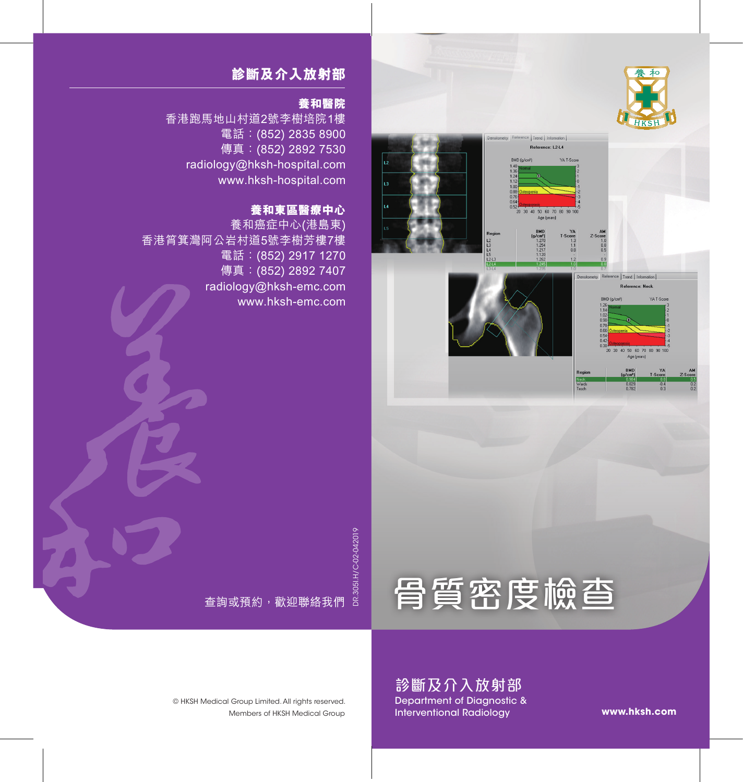

YA T-See

YA<br>T-Score



## **診斷及介入放射部**

#### **養和醫院**

香港跑馬地山村道2號李樹培院1樓 電話:(852) 2835 8900 傳真: (852) 2892 7530 radiology@hksh-hospital.com www.hksh-hospital.com

## **養和東區醫療中心**

養和癌症中心(港島東) 香港筲箕灣阿公岩村道5號李樹芳樓7樓 電話:(852) 2917 1270 傳真: (852) 2892 7407 radiology@hksh-emc.com www.hksh-emc.com

> DR.305I.H/C-02-042019 DR.305I.H/C-02-042019



Members of HKSH Medical Group © HKSH Medical Group Limited. All rights reserved.

查詢或預約,歡迎聯絡我們

診斷及介入放射部 Department of Diagnostic & Interventional Radiology